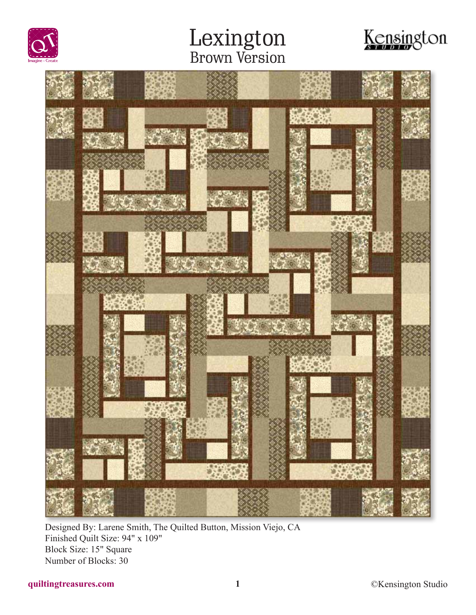





Designed By: Larene Smith, The Quilted Button, Mission Viejo, CA Finished Quilt Size: 94" x 109" Block Size: 15" Square Number of Blocks: 30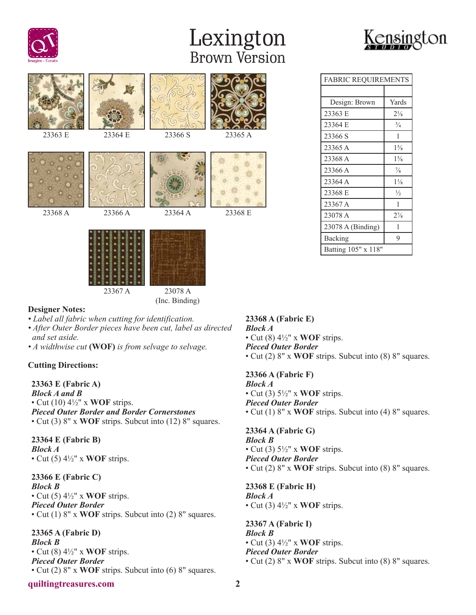



| 23363 E | 23364 E | 23366 S | 23365 A |
|---------|---------|---------|---------|
|         |         |         |         |
| 23368 A | 23366 A | 23364 A | 23368 E |
|         | 23367 A | 23078 A |         |

(Inc. Binding)

### FABRIC REQUIREMENTS Design: Brown Yards 23363 E 21/8 23364 E  $\frac{3}{4}$  $23366 S$  1 23365 A 1<sup>5</sup>/<sub>8</sub> 23368 A 1<sup>5</sup>/<sub>8</sub>  $23366 \text{ A}$   $\frac{7}{8}$ 23364 A 1<sup>1</sup>/<sub>8</sub> 23368 E <sup>1/2</sup> 23367 A 1 23078 A  $2\frac{2}{8}$ 23078 A (Binding) 1 Backing 9 Batting 105" x 118"

#### **Designer Notes:**

- *Label all fabric when cutting for identification.*
- *After Outer Border pieces have been cut, label as directed and set aside.*
- *A widthwise cut* **(WOF)** *is from selvage to selvage.*

#### **Cutting Directions:**

**23363 E (Fabric A)** *Block A and B* • Cut (10) 4½" x **WOF** strips. *Pieced Outer Border and Border Cornerstones* • Cut (3) 8" x **WOF** strips. Subcut into (12) 8" squares.

**23364 E (Fabric B)** *Block A* • Cut (5) 4½" x **WOF** strips.

**23366 E (Fabric C)** *Block B* • Cut (5) 4½" x **WOF** strips. *Pieced Outer Border* • Cut (1) 8" x **WOF** strips. Subcut into (2) 8" squares.

**23365 A (Fabric D)** *Block B* • Cut (8) 4½" x **WOF** strips. *Pieced Outer Border* • Cut (2) 8" x **WOF** strips. Subcut into (6) 8" squares.

#### **quiltingtreasures.com 2**

**23368 A (Fabric E)** *Block A* • Cut (8) 4½" x **WOF** strips. *Pieced Outer Border* • Cut (2) 8" x **WOF** strips. Subcut into (8) 8" squares.

**23366 A (Fabric F)** *Block A*

• Cut (3) 5½" x **WOF** strips. *Pieced Outer Border* • Cut (1) 8" x **WOF** strips. Subcut into (4) 8" squares.

**23364 A (Fabric G)** *Block B* • Cut (3) 5½" x **WOF** strips. *Pieced Outer Border* • Cut (2) 8" x **WOF** strips. Subcut into (8) 8" squares.

**23368 E (Fabric H)** *Block A* • Cut (3) 4½" x **WOF** strips.

**23367 A (Fabric I)** *Block B* • Cut (3) 4½" x **WOF** strips. *Pieced Outer Border* • Cut (2) 8" x **WOF** strips. Subcut into (8) 8" squares.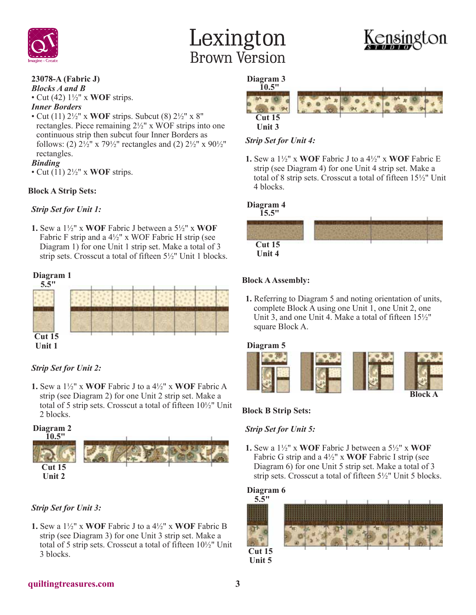



## **23078-A (Fabric J)**

*Blocks A and B* • Cut (42) 1½" x **WOF** strips.

#### *Inner Borders*

• Cut (11) 2½" x **WOF** strips. Subcut (8) 2½" x 8" rectangles. Piece remaining 2½" x WOF strips into one continuous strip then subcut four Inner Borders as follows: (2)  $2\frac{1}{2}$ " x  $79\frac{1}{2}$ " rectangles and (2)  $2\frac{1}{2}$ " x  $90\frac{1}{2}$ " rectangles.

#### *Binding*

• Cut (11) 2½" x **WOF** strips.

#### **Block A Strip Sets:**

#### *Strip Set for Unit 1:*

**1.** Sew a 1½" x **WOF** Fabric J between a 5½" x **WOF** Fabric F strip and a  $4\frac{1}{2}$ " x WOF Fabric H strip (see Diagram 1) for one Unit 1 strip set. Make a total of 3 strip sets. Crosscut a total of fifteen 5½" Unit 1 blocks.

#### **Diagram 1**



#### *Strip Set for Unit 2:*

**1.** Sew a 1½" x **WOF** Fabric J to a 4½" x **WOF** Fabric A strip (see Diagram 2) for one Unit 2 strip set. Make a total of 5 strip sets. Crosscut a total of fifteen 10½" Unit 2 blocks.



#### *Strip Set for Unit 3:*

**1.** Sew a 1½" x **WOF** Fabric J to a 4½" x **WOF** Fabric B strip (see Diagram 3) for one Unit 3 strip set. Make a total of 5 strip sets. Crosscut a total of fifteen 10½" Unit 3 blocks.

#### **Diagram 3**



#### *Strip Set for Unit 4:*

**1.** Sew a 1½" x **WOF** Fabric J to a 4½" x **WOF** Fabric E strip (see Diagram 4) for one Unit 4 strip set. Make a total of 8 strip sets. Crosscut a total of fifteen 15½" Unit 4 blocks.

#### **Diagram 4**



#### **Block A Assembly:**

**1.** Referring to Diagram 5 and noting orientation of units, complete Block A using one Unit 1, one Unit 2, one Unit 3, and one Unit 4. Make a total of fifteen 15½" square Block A.



#### **Block B Strip Sets:**

#### *Strip Set for Unit 5:*

**1.** Sew a 1½" x **WOF** Fabric J between a 5½" x **WOF** Fabric G strip and a 4½" x **WOF** Fabric I strip (see Diagram 6) for one Unit 5 strip set. Make a total of 3 strip sets. Crosscut a total of fifteen 5½" Unit 5 blocks.

#### **Diagram 6**



**Unit 5**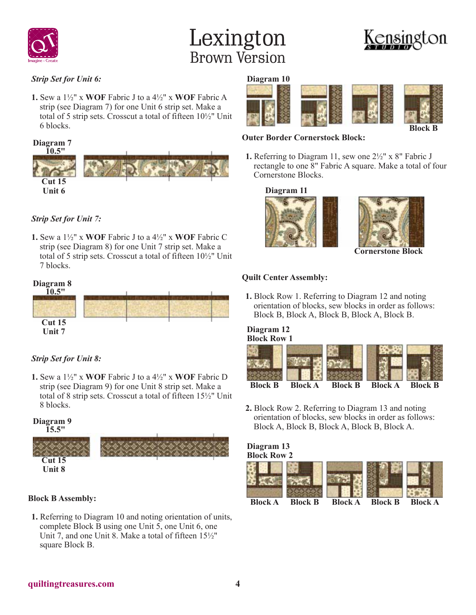

### *Strip Set for Unit 6:*

**1.** Sew a 1½" x **WOF** Fabric J to a 4½" x **WOF** Fabric A strip (see Diagram 7) for one Unit 6 strip set. Make a total of 5 strip sets. Crosscut a total of fifteen 10½" Unit 6 blocks.



### *Strip Set for Unit 7:*

**1.** Sew a 1½" x **WOF** Fabric J to a 4½" x **WOF** Fabric C strip (see Diagram 8) for one Unit 7 strip set. Make a total of 5 strip sets. Crosscut a total of fifteen 10½" Unit 7 blocks.



### *Strip Set for Unit 8:*

**1.** Sew a 1½" x **WOF** Fabric J to a 4½" x **WOF** Fabric D strip (see Diagram 9) for one Unit 8 strip set. Make a total of 8 strip sets. Crosscut a total of fifteen 15½" Unit 8 blocks.

**Diagram 9 15.5"**



#### **Block B Assembly:**

**1.** Referring to Diagram 10 and noting orientation of units, complete Block B using one Unit 5, one Unit 6, one Unit 7, and one Unit 8. Make a total of fifteen 15½" square Block B.

#### **Diagram 10**



### **Outer Border Cornerstock Block:**

**1.** Referring to Diagram 11, sew one 2½" x 8" Fabric J rectangle to one 8" Fabric A square. Make a total of four Cornerstone Blocks.

**Diagram 11**





**Cornerstone Block**

#### **Quilt Center Assembly:**

**1.** Block Row 1. Referring to Diagram 12 and noting orientation of blocks, sew blocks in order as follows: Block B, Block A, Block B, Block A, Block B.

#### **Block Row 1 Diagram 12**



**2.** Block Row 2. Referring to Diagram 13 and noting orientation of blocks, sew blocks in order as follows: Block A, Block B, Block A, Block B, Block A.

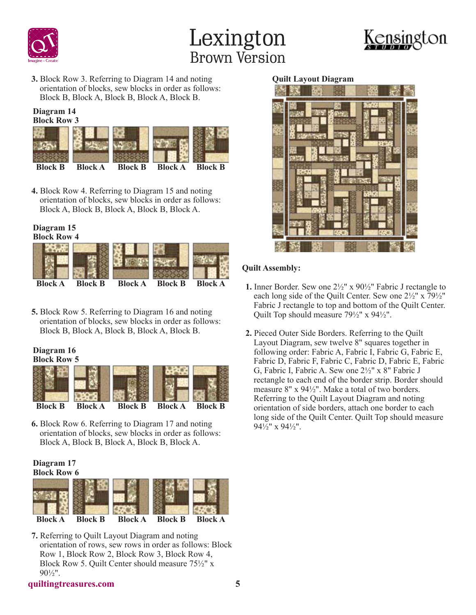





**3.** Block Row 3. Referring to Diagram 14 and noting orientation of blocks, sew blocks in order as follows: Block B, Block A, Block B, Block A, Block B.

#### **Block Row 3 Diagram 14**



**4.** Block Row 4. Referring to Diagram 15 and noting orientation of blocks, sew blocks in order as follows: Block A, Block B, Block A, Block B, Block A.

## **Diagram 15**



**5.** Block Row 5. Referring to Diagram 16 and noting orientation of blocks, sew blocks in order as follows: Block B, Block A, Block B, Block A, Block B.

#### **Block Row 5 Diagram 16**



**6.** Block Row 6. Referring to Diagram 17 and noting orientation of blocks, sew blocks in order as follows: Block A, Block B, Block A, Block B, Block A.



**7.** Referring to Quilt Layout Diagram and noting orientation of rows, sew rows in order as follows: Block Row 1, Block Row 2, Block Row 3, Block Row 4, Block Row 5. Quilt Center should measure 75½" x 90½".

#### **Quilt Layout Diagram**



#### **Quilt Assembly:**

- **1.** Inner Border. Sew one 2½" x 90½" Fabric J rectangle to each long side of the Quilt Center. Sew one 2½" x 79½" Fabric J rectangle to top and bottom of the Quilt Center. Quilt Top should measure 79½" x 94½".
- **2.** Pieced Outer Side Borders. Referring to the Quilt Layout Diagram, sew twelve 8" squares together in following order: Fabric A, Fabric I, Fabric G, Fabric E, Fabric D, Fabric F, Fabric C, Fabric D, Fabric E, Fabric G, Fabric I, Fabric A. Sew one 2½" x 8" Fabric J rectangle to each end of the border strip. Border should measure 8" x 94½". Make a total of two borders. Referring to the Quilt Layout Diagram and noting orientation of side borders, attach one border to each long side of the Quilt Center. Quilt Top should measure 94½" x 94½".

#### **quiltingtreasures.com 5**